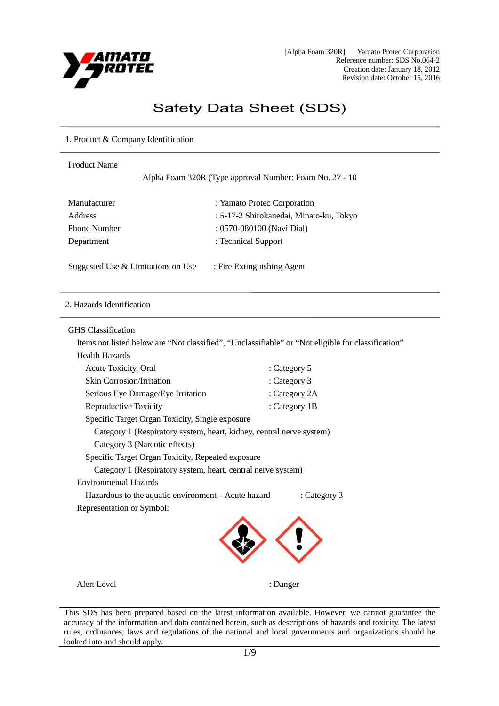

# Safety Data Sheet (SDS)

# 1. Product & Company Identification

| <b>Product Name</b>                                      |                                                                                                    |  |
|----------------------------------------------------------|----------------------------------------------------------------------------------------------------|--|
| Alpha Foam 320R (Type approval Number: Foam No. 27 - 10) |                                                                                                    |  |
| Manufacturer                                             | : Yamato Protec Corporation                                                                        |  |
| <b>Address</b>                                           | : 5-17-2 Shirokanedai, Minato-ku, Tokyo                                                            |  |
| <b>Phone Number</b>                                      | : 0570-080100 (Navi Dial)                                                                          |  |
| Department                                               | : Technical Support                                                                                |  |
| Suggested Use $&$ Limitations on Use                     | : Fire Extinguishing Agent                                                                         |  |
| 2. Hazards Identification                                |                                                                                                    |  |
| <b>GHS</b> Classification                                |                                                                                                    |  |
|                                                          | Items not listed below are "Not classified", "Unclassifiable" or "Not eligible for classification" |  |
| <b>Health Hazards</b>                                    |                                                                                                    |  |
| Acute Toxicity, Oral                                     | : Category 5                                                                                       |  |
| <b>Skin Corrosion/Irritation</b>                         | : Category 3                                                                                       |  |
| Serious Eye Damage/Eye Irritation                        | : Category 2A                                                                                      |  |
| Reproductive Toxicity                                    | : Category 1B                                                                                      |  |
| Specific Target Organ Toxicity, Single exposure          |                                                                                                    |  |

Specific Target Organ Toxicity, Repeated exposure Category 1 (Respiratory system, heart, central nerve system) Environmental Hazards Hazardous to the aquatic environment – Acute hazard : Category 3

Category 3 (Narcotic effects)

Representation or Symbol:

Category 1 (Respiratory system, heart, kidney, central nerve system)

Alert Level : Danger

This SDS has been prepared based on the latest information available. However, we cannot guarantee the accuracy of the information and data contained herein, such as descriptions of hazards and toxicity. The latest rules, ordinances, laws and regulations of the national and local governments and organizations should be looked into and should apply.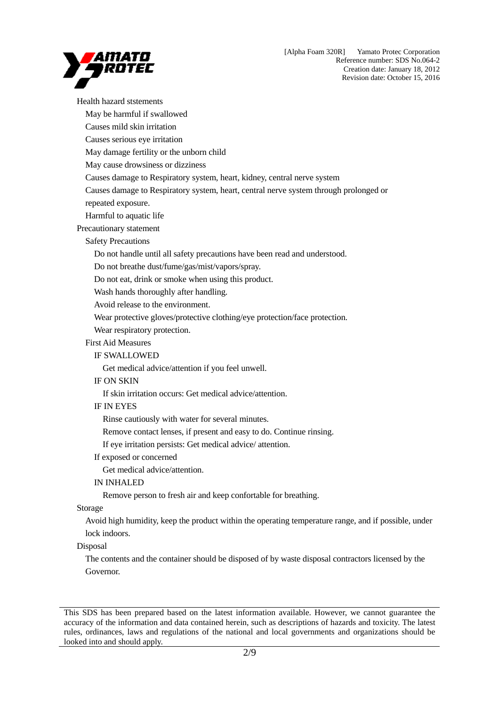

Health hazard ststements May be harmful if swallowed Causes mild skin irritation Causes serious eye irritation May damage fertility or the unborn child May cause drowsiness or dizziness Causes damage to Respiratory system, heart, kidney, central nerve system Causes damage to Respiratory system, heart, central nerve system through prolonged or repeated exposure. Harmful to aquatic life Precautionary statement Safety Precautions Do not handle until all safety precautions have been read and understood. Do not breathe dust/fume/gas/mist/vapors/spray. Do not eat, drink or smoke when using this product. Wash hands thoroughly after handling. Avoid release to the environment. Wear protective gloves/protective clothing/eye protection/face protection. Wear respiratory protection. First Aid Measures IF SWALLOWED Get medical advice/attention if you feel unwell. IF ON SKIN If skin irritation occurs: Get medical advice/attention. IF IN EYES Rinse cautiously with water for several minutes. Remove contact lenses, if present and easy to do. Continue rinsing. If eye irritation persists: Get medical advice/ attention. If exposed or concerned Get medical advice/attention. IN INHALED Remove person to fresh air and keep confortable for breathing. Storage Avoid high humidity, keep the product within the operating temperature range, and if possible, under lock indoors. Disposal The contents and the container should be disposed of by waste disposal contractors licensed by the Governor.

This SDS has been prepared based on the latest information available. However, we cannot guarantee the accuracy of the information and data contained herein, such as descriptions of hazards and toxicity. The latest rules, ordinances, laws and regulations of the national and local governments and organizations should be looked into and should apply.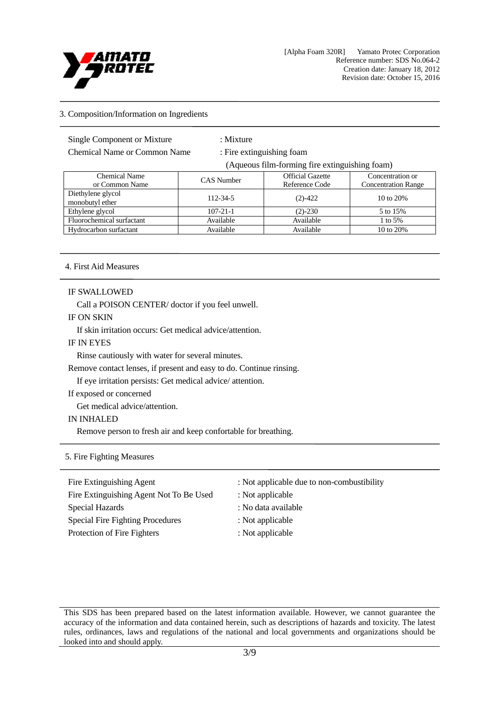

# 3. Composition/Information on Ingredients

Single Component or Mixture : Mixture

Chemical Name or Common Name : Fire extinguishing foam

(Aqueous film-forming fire extinguishing foam)

| Chemical Name<br>or Common Name      | CAS Number     | <b>Official Gazette</b><br>Reference Code | Concentration or<br><b>Concentration Range</b> |
|--------------------------------------|----------------|-------------------------------------------|------------------------------------------------|
| Diethylene glycol<br>monobutyl ether | 112-34-5       | $(2) - 422$                               | 10 to 20%                                      |
| Ethylene glycol                      | $107 - 21 - 1$ | $(2) - 230$                               | 5 to 15%                                       |
| Fluorochemical surfactant            | Available      | Available                                 | 1 to 5%                                        |
| Hydrocarbon surfactant               | Available      | Available                                 | 10 to 20%                                      |

# 4. First Aid Measures

### IF SWALLOWED

Call a POISON CENTER/ doctor if you feel unwell.

#### IF ON SKIN

If skin irritation occurs: Get medical advice/attention.

#### IF IN EYES

Rinse cautiously with water for several minutes.

Remove contact lenses, if present and easy to do. Continue rinsing.

If eye irritation persists: Get medical advice/ attention.

# If exposed or concerned

Get medical advice/attention.

#### IN INHALED

Remove person to fresh air and keep confortable for breathing.

# 5. Fire Fighting Measures

| Fire Extinguishing Agent                | : Not applicable due to non-combustibility |
|-----------------------------------------|--------------------------------------------|
| Fire Extinguishing Agent Not To Be Used | : Not applicable                           |
| Special Hazards                         | : No data available                        |
| Special Fire Fighting Procedures        | : Not applicable                           |
| Protection of Fire Fighters             | : Not applicable                           |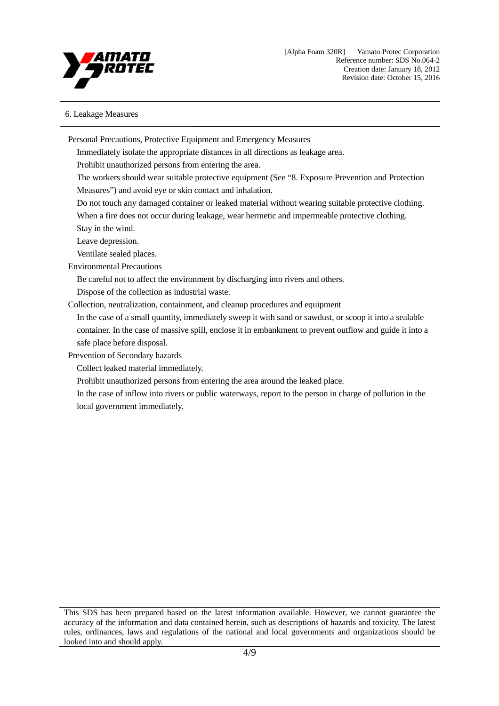

# 6. Leakage Measures

Personal Precautions, Protective Equipment and Emergency Measures Immediately isolate the appropriate distances in all directions as leakage area. Prohibit unauthorized persons from entering the area. The workers should wear suitable protective equipment (See "8. Exposure Prevention and Protection Measures") and avoid eye or skin contact and inhalation. Do not touch any damaged container or leaked material without wearing suitable protective clothing. When a fire does not occur during leakage, wear hermetic and impermeable protective clothing. Stay in the wind. Leave depression. Ventilate sealed places. Environmental Precautions Be careful not to affect the environment by discharging into rivers and others. Dispose of the collection as industrial waste. Collection, neutralization, containment, and cleanup procedures and equipment In the case of a small quantity, immediately sweep it with sand or sawdust, or scoop it into a sealable container. In the case of massive spill, enclose it in embankment to prevent outflow and guide it into a safe place before disposal. Prevention of Secondary hazards Collect leaked material immediately. Prohibit unauthorized persons from entering the area around the leaked place. In the case of inflow into rivers or public waterways, report to the person in charge of pollution in the local government immediately.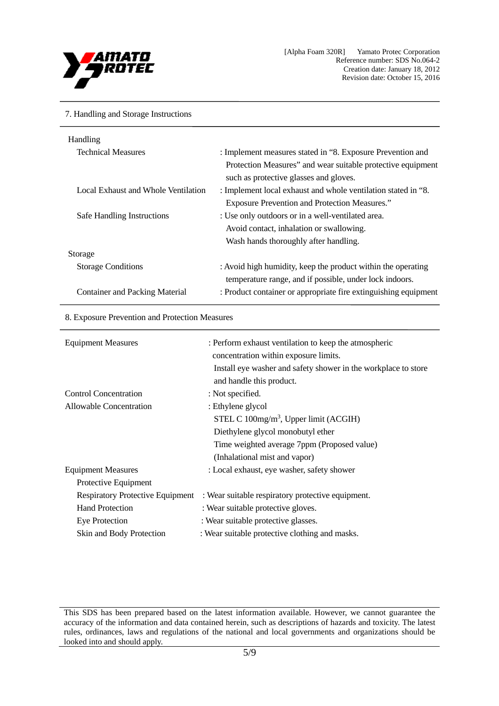

#### 7. Handling and Storage Instructions

| Handling                              |                                                                 |
|---------------------------------------|-----------------------------------------------------------------|
| <b>Technical Measures</b>             | : Implement measures stated in "8. Exposure Prevention and      |
|                                       | Protection Measures" and wear suitable protective equipment     |
|                                       | such as protective glasses and gloves.                          |
| Local Exhaust and Whole Ventilation   | : Implement local exhaust and whole ventilation stated in "8.   |
|                                       | <b>Exposure Prevention and Protection Measures."</b>            |
| Safe Handling Instructions            | : Use only outdoors or in a well-ventilated area.               |
|                                       | Avoid contact, inhalation or swallowing.                        |
|                                       | Wash hands thoroughly after handling.                           |
| Storage                               |                                                                 |
| <b>Storage Conditions</b>             | : Avoid high humidity, keep the product within the operating    |
|                                       | temperature range, and if possible, under lock indoors.         |
| <b>Container and Packing Material</b> | : Product container or appropriate fire extinguishing equipment |
|                                       |                                                                 |

#### 8. Exposure Prevention and Protection Measures

| <b>Equipment Measures</b>               | : Perform exhaust ventilation to keep the atmospheric<br>concentration within exposure limits. |
|-----------------------------------------|------------------------------------------------------------------------------------------------|
|                                         | Install eye washer and safety shower in the workplace to store<br>and handle this product.     |
| <b>Control Concentration</b>            | : Not specified.                                                                               |
| Allowable Concentration                 | : Ethylene glycol                                                                              |
|                                         | STEL C $100$ mg/m <sup>3</sup> , Upper limit (ACGIH)                                           |
|                                         | Diethylene glycol monobutyl ether                                                              |
|                                         | Time weighted average 7ppm (Proposed value)                                                    |
|                                         | (Inhalational mist and vapor)                                                                  |
| <b>Equipment Measures</b>               | : Local exhaust, eye washer, safety shower                                                     |
| Protective Equipment                    |                                                                                                |
| <b>Respiratory Protective Equipment</b> | : Wear suitable respiratory protective equipment.                                              |
| <b>Hand Protection</b>                  | : Wear suitable protective gloves.                                                             |
| <b>Eye Protection</b>                   | : Wear suitable protective glasses.                                                            |
| Skin and Body Protection                | : Wear suitable protective clothing and masks.                                                 |

This SDS has been prepared based on the latest information available. However, we cannot guarantee the accuracy of the information and data contained herein, such as descriptions of hazards and toxicity. The latest rules, ordinances, laws and regulations of the national and local governments and organizations should be looked into and should apply.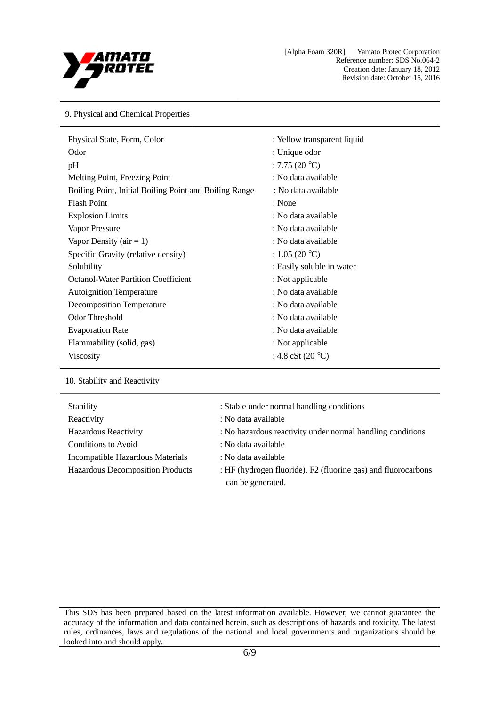

9. Physical and Chemical Properties

| Physical State, Form, Color                            | : Yellow transparent liquid |
|--------------------------------------------------------|-----------------------------|
| Odor                                                   | : Unique odor               |
| pH                                                     | : 7.75 $(20 °C)$            |
| Melting Point, Freezing Point                          | : No data available         |
| Boiling Point, Initial Boiling Point and Boiling Range | : No data available         |
| <b>Flash Point</b>                                     | : None                      |
| <b>Explosion Limits</b>                                | : No data available         |
| Vapor Pressure                                         | : No data available         |
| Vapor Density ( $air = 1$ )                            | : No data available         |
| Specific Gravity (relative density)                    | : $1.05(20 °C)$             |
| Solubility                                             | : Easily soluble in water   |
| <b>Octanol-Water Partition Coefficient</b>             | : Not applicable            |
| <b>Autoignition Temperature</b>                        | : No data available         |
| <b>Decomposition Temperature</b>                       | : No data available         |
| <b>Odor Threshold</b>                                  | : No data available         |
| <b>Evaporation Rate</b>                                | : No data available         |
| Flammability (solid, gas)                              | : Not applicable            |
| <b>Viscosity</b>                                       | : 4.8 cSt (20 $^{\circ}$ C) |

10. Stability and Reactivity

| Stability                               | : Stable under normal handling conditions                                          |
|-----------------------------------------|------------------------------------------------------------------------------------|
| Reactivity                              | : No data available                                                                |
| <b>Hazardous Reactivity</b>             | : No hazardous reactivity under normal handling conditions                         |
| Conditions to Avoid                     | : No data available                                                                |
| Incompatible Hazardous Materials        | : No data available                                                                |
| <b>Hazardous Decomposition Products</b> | : HF (hydrogen fluoride), F2 (fluorine gas) and fluorocarbons<br>can be generated. |

This SDS has been prepared based on the latest information available. However, we cannot guarantee the accuracy of the information and data contained herein, such as descriptions of hazards and toxicity. The latest rules, ordinances, laws and regulations of the national and local governments and organizations should be looked into and should apply.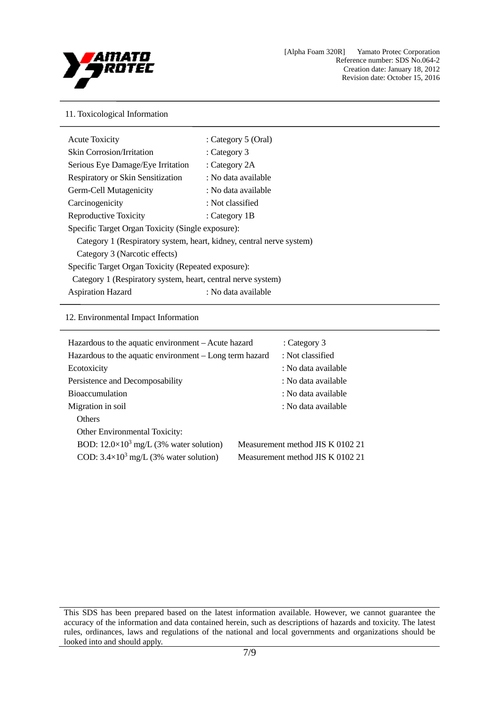

## 11. Toxicological Information

| <b>Acute Toxicity</b>                                                | : Category 5 (Oral) |
|----------------------------------------------------------------------|---------------------|
| <b>Skin Corrosion/Irritation</b>                                     | : Category $3$      |
| Serious Eye Damage/Eye Irritation                                    | : Category 2A       |
| <b>Respiratory or Skin Sensitization</b>                             | : No data available |
| Germ-Cell Mutagenicity                                               | : No data available |
| Carcinogenicity                                                      | : Not classified    |
| Reproductive Toxicity                                                | : Category 1B       |
| Specific Target Organ Toxicity (Single exposure):                    |                     |
| Category 1 (Respiratory system, heart, kidney, central nerve system) |                     |
| Category 3 (Narcotic effects)                                        |                     |
| Specific Target Organ Toxicity (Repeated exposure):                  |                     |
| Category 1 (Respiratory system, heart, central nerve system)         |                     |
| <b>Aspiration Hazard</b>                                             | : No data available |

# 12. Environmental Impact Information

| Hazardous to the aquatic environment – Acute hazard     | : Category 3                     |
|---------------------------------------------------------|----------------------------------|
|                                                         |                                  |
| Hazardous to the aquatic environment – Long term hazard | : Not classified                 |
| Ecotoxicity                                             | : No data available              |
| Persistence and Decomposability                         | : No data available              |
| <b>Bioaccumulation</b>                                  | : No data available              |
| Migration in soil                                       | : No data available              |
| <b>Others</b>                                           |                                  |
| <b>Other Environmental Toxicity:</b>                    |                                  |
| BOD: $12.0 \times 10^3$ mg/L (3% water solution)        | Measurement method JIS K 0102 21 |
| COD: $3.4 \times 10^3$ mg/L (3% water solution)         | Measurement method JIS K 0102 21 |
|                                                         |                                  |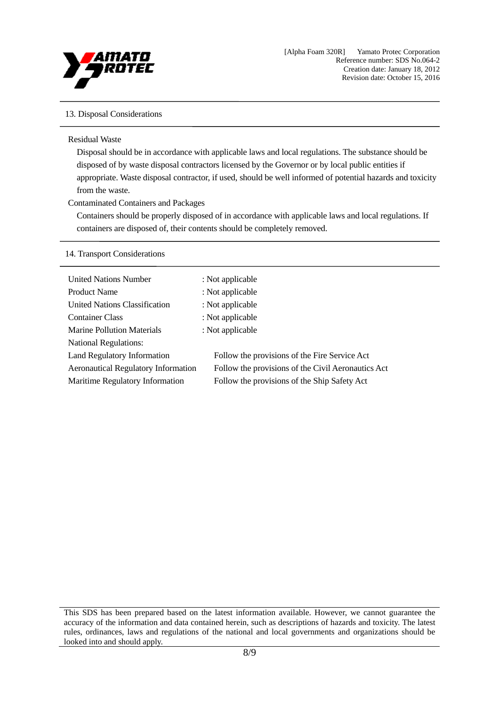

# 13. Disposal Considerations

#### Residual Waste

Disposal should be in accordance with applicable laws and local regulations. The substance should be disposed of by waste disposal contractors licensed by the Governor or by local public entities if appropriate. Waste disposal contractor, if used, should be well informed of potential hazards and toxicity from the waste.

### Contaminated Containers and Packages

Containers should be properly disposed of in accordance with applicable laws and local regulations. If containers are disposed of, their contents should be completely removed.

#### 14. Transport Considerations

| <b>United Nations Number</b>               | : Not applicable                                   |
|--------------------------------------------|----------------------------------------------------|
| <b>Product Name</b>                        | : Not applicable                                   |
| United Nations Classification              | : Not applicable                                   |
| <b>Container Class</b>                     | : Not applicable                                   |
| <b>Marine Pollution Materials</b>          | : Not applicable                                   |
| <b>National Regulations:</b>               |                                                    |
| Land Regulatory Information                | Follow the provisions of the Fire Service Act      |
| <b>Aeronautical Regulatory Information</b> | Follow the provisions of the Civil Aeronautics Act |
| Maritime Regulatory Information            | Follow the provisions of the Ship Safety Act       |
|                                            |                                                    |